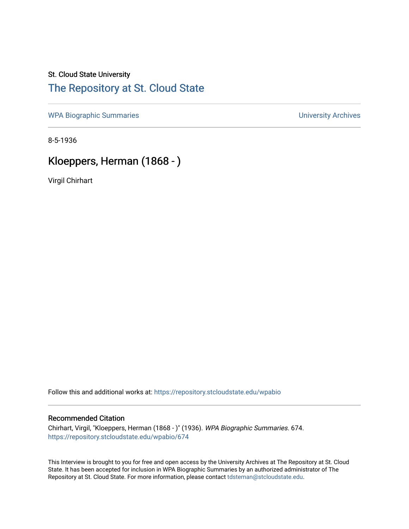### St. Cloud State University [The Repository at St. Cloud State](https://repository.stcloudstate.edu/)

[WPA Biographic Summaries](https://repository.stcloudstate.edu/wpabio) **WPA Biographic Summaries University Archives** 

8-5-1936

# Kloeppers, Herman (1868 - )

Virgil Chirhart

Follow this and additional works at: [https://repository.stcloudstate.edu/wpabio](https://repository.stcloudstate.edu/wpabio?utm_source=repository.stcloudstate.edu%2Fwpabio%2F674&utm_medium=PDF&utm_campaign=PDFCoverPages) 

#### Recommended Citation

Chirhart, Virgil, "Kloeppers, Herman (1868 - )" (1936). WPA Biographic Summaries. 674. [https://repository.stcloudstate.edu/wpabio/674](https://repository.stcloudstate.edu/wpabio/674?utm_source=repository.stcloudstate.edu%2Fwpabio%2F674&utm_medium=PDF&utm_campaign=PDFCoverPages) 

This Interview is brought to you for free and open access by the University Archives at The Repository at St. Cloud State. It has been accepted for inclusion in WPA Biographic Summaries by an authorized administrator of The Repository at St. Cloud State. For more information, please contact [tdsteman@stcloudstate.edu.](mailto:tdsteman@stcloudstate.edu)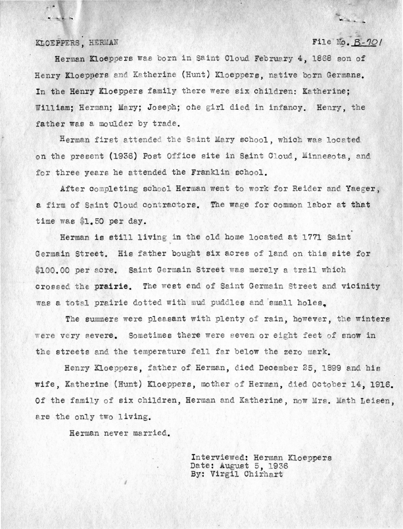#### KLOEPPERS, HERMAN

 $r^{\prime\prime}$ 

 $\frac{1}{2}$ 

File  $No. B-70/$ 

War.

Herman Kloeppers was born in Saint Cloud February 4, 1868 son of Henry Kloeppers and Katherine (Hunt) Kloeppers, native born Germans. In the Henry Kloeppers family there were six children: Katherine: William: Herman; Mary; Joseph; ohe girl died in infancy. Henry, the father was a moulder by trade.

Herman first attended the Saint Mary school, which was located on the present (1936) Post Office site in Saint Cloud. Minnesota, and for three vears he attended the Franklin school.

After completing school Herman went to work for Reider and Yaeger, a firm of Saint Cloud contractors. The wage for common labor at that time was \$1.50 per day.

Herman is still living in the old home located at 1771 Saint Germain Street. His father bought six acres of land on this site for \$100.00 per acre. Saint Germain Street was merely a trail which crossed the prairie. The west end of Saint Germain Street and vicinity was a total prairie dotted with mud puddles and small holes.

The summers were pleasant with plenty of rain, however, the winters were very severe. Sometimes there were seven or eight feet of snow in the streets and the temperature fell far below the zero mark.

Henry Kloeppers, father of Herman, died December 25, 1899 and his wife, Katherine (Hunt) Kloeppers, mother of Herman, died October 14, 1916. Of the family of six children, Herman and Katherine, now Mrs. Math Leisen, are the only two living.

Herman never ma rried.

Interviewed: Herman Kloeppers Date: August 5, 1936 By: Virgil Chirhart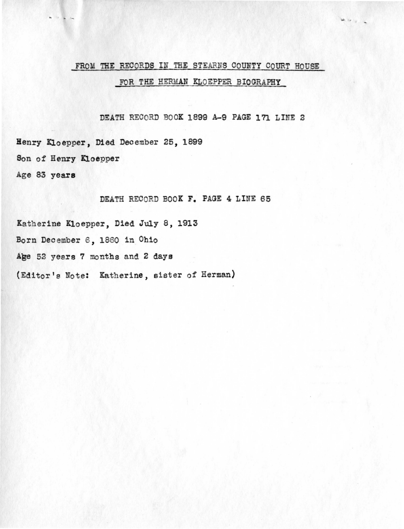# FROM THE RECORDS IN THE STEARNS COUNTY COURT HOUSE FOR THE HERMAN KLOEPPER BIOGRAPHY

DEATH RECORD BOOK 1899 A-9 PAGE 171 LINE 2

Henry Kloepper, Died December 25, 1899 Son of Henry Kloepper

Age 83 **years** 

DEATH RECORD BOOK F. PAGE 4 LINE 65

Katherine Kloepper, Died July 8, 1913 Born December 6, 1860 in Ohio Age 52 years 7 months and 2 days (Editor's Note: Katherine, sister of Herman)